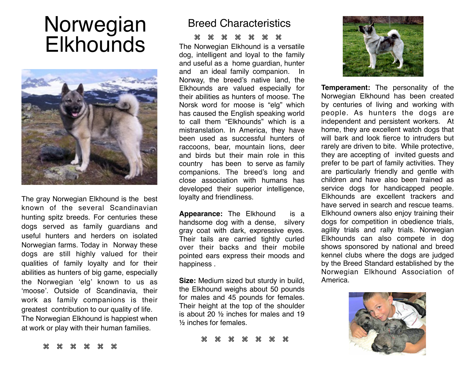# Norwegian **Elkhounds**



The gray Norwegian Elkhound is the best known of the several Scandinavian hunting spitz breeds. For centuries these dogs served as family guardians and useful hunters and herders on isolated Norwegian farms. Today in Norway these dogs are still highly valued for their qualities of family loyalty and for their abilities as hunters of big game, especially the Norwegian 'elg' known to us as 'moose'. Outside of Scandinavia, their work as family companions is their greatest contribution to our quality of life. The Norwegian Elkhound is happiest when at work or play with their human families.

## Breed Characteristics

#### $\#$   $\#$   $\#$   $\#$   $\#$   $\#$

The Norwegian Elkhound is a versatile dog, intelligent and loyal to the family and useful as a home guardian, hunter and an ideal family companion. In Norway, the breed's native land, the Elkhounds are valued especially for their abilities as hunters of moose. The Norsk word for moose is "elg" which has caused the English speaking world to call them "Elkhounds" which is a mistranslation. In America, they have been used as successful hunters of raccoons, bear, mountain lions, deer and birds but their main role in this country has been to serve as family companions. The breed's long and close association with humans has developed their superior intelligence, loyalty and friendliness.

**Appearance:** The Elkhound is a handsome dog with a dense, silvery gray coat with dark, expressive eyes. Their tails are carried tightly curled over their backs and their mobile pointed ears express their moods and happiness .

**Size:** Medium sized but sturdy in build, the Elkhound weighs about 50 pounds for males and 45 pounds for females. Their height at the top of the shoulder is about 20 ½ inches for males and 19 ½ inches for females.

\* \* \* \* \* \* \*



**Temperament:** The personality of the Norwegian Elkhound has been created by centuries of living and working with people. As hunters the dogs are independent and persistent workers. At home, they are excellent watch dogs that will bark and look fierce to intruders but rarely are driven to bite. While protective, they are accepting of invited guests and prefer to be part of family activities. They are particularly friendly and gentle with children and have also been trained as service dogs for handicapped people. Elkhounds are excellent trackers and have served in search and rescue teams. Elkhound owners also enjoy training their dogs for competition in obedience trials, agility trials and rally trials. Norwegian Elkhounds can also compete in dog shows sponsored by national and breed kennel clubs where the dogs are judged by the Breed Standard established by the Norwegian Elkhound Association of America.